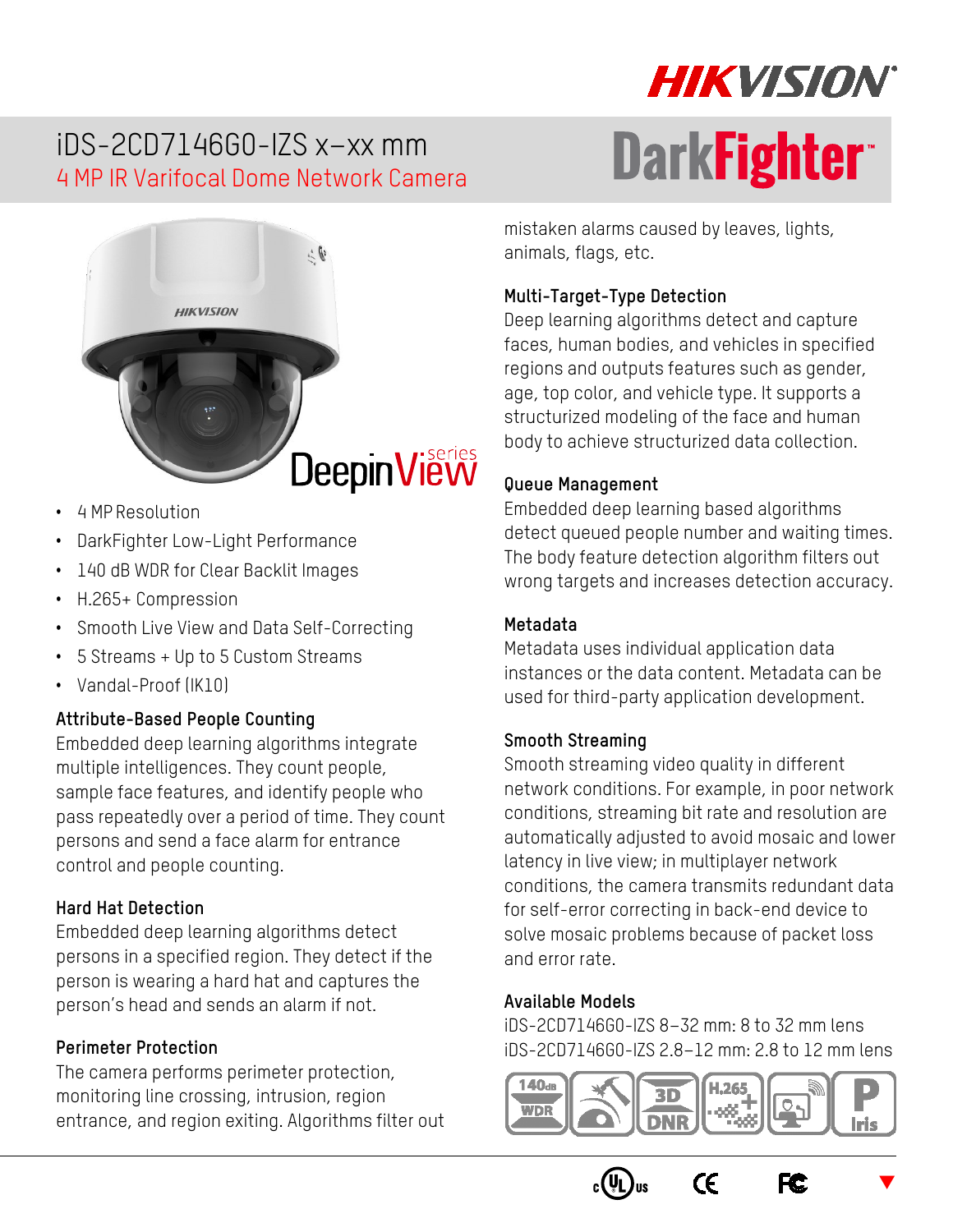# iDS-2CD7146G0-IZS x–xx mm 4 MP IR Varifocal Dome Network Camera



- 4 MP Resolution
- DarkFighter Low-Light Performance
- 140 dB WDR for Clear Backlit Images
- H.265+ Compression
- Smooth Live View and Data Self-Correcting
- 5 Streams + Up to 5 Custom Streams
- Vandal-Proof (IK10)

#### **Attribute-Based People Counting**

Embedded deep learning algorithms integrate multiple intelligences. They count people, sample face features, and identify people who pass repeatedly over a period of time. They count persons and send a face alarm for entrance control and people counting.

#### **Hard Hat Detection**

Embedded deep learning algorithms detect persons in a specified region. They detect if the person is wearing a hard hat and captures the person's head and sends an alarm if not.

#### **Perimeter Protection**

The camera performs perimeter protection, monitoring line crossing, intrusion, region entrance, and region exiting. Algorithms filter out

# **HIKVISION DarkFightert**

mistaken alarms caused by leaves, lights, animals, flags, etc.

#### **Multi-Target-Type Detection**

Deep learning algorithms detect and capture faces, human bodies, and vehicles in specified regions and outputs features such as gender, age, top color, and vehicle type. It supports a structurized modeling of the face and human body to achieve structurized data collection.

#### **Queue Management**

Embedded deep learning based algorithms detect queued people number and waiting times. The body feature detection algorithm filters out wrong targets and increases detection accuracy.

#### **Metadata**

Metadata uses individual application data instances or the data content. Metadata can be used for third-party application development.

#### **Smooth Streaming**

Smooth streaming video quality in different network conditions. For example, in poor network conditions, streaming bit rate and resolution are automatically adjusted to avoid mosaic and lower latency in live view; in multiplayer network conditions, the camera transmits redundant data for self-error correcting in back-end device to solve mosaic problems because of packet loss and error rate.

#### **Available Models**

iDS-2CD7146G0-IZS 8–32 mm: 8 to 32 mm lens iDS-2CD7146G0-IZS 2.8–12 mm: 2.8 to 12 mm lens



 $\epsilon$ 





 $\blacktriangledown$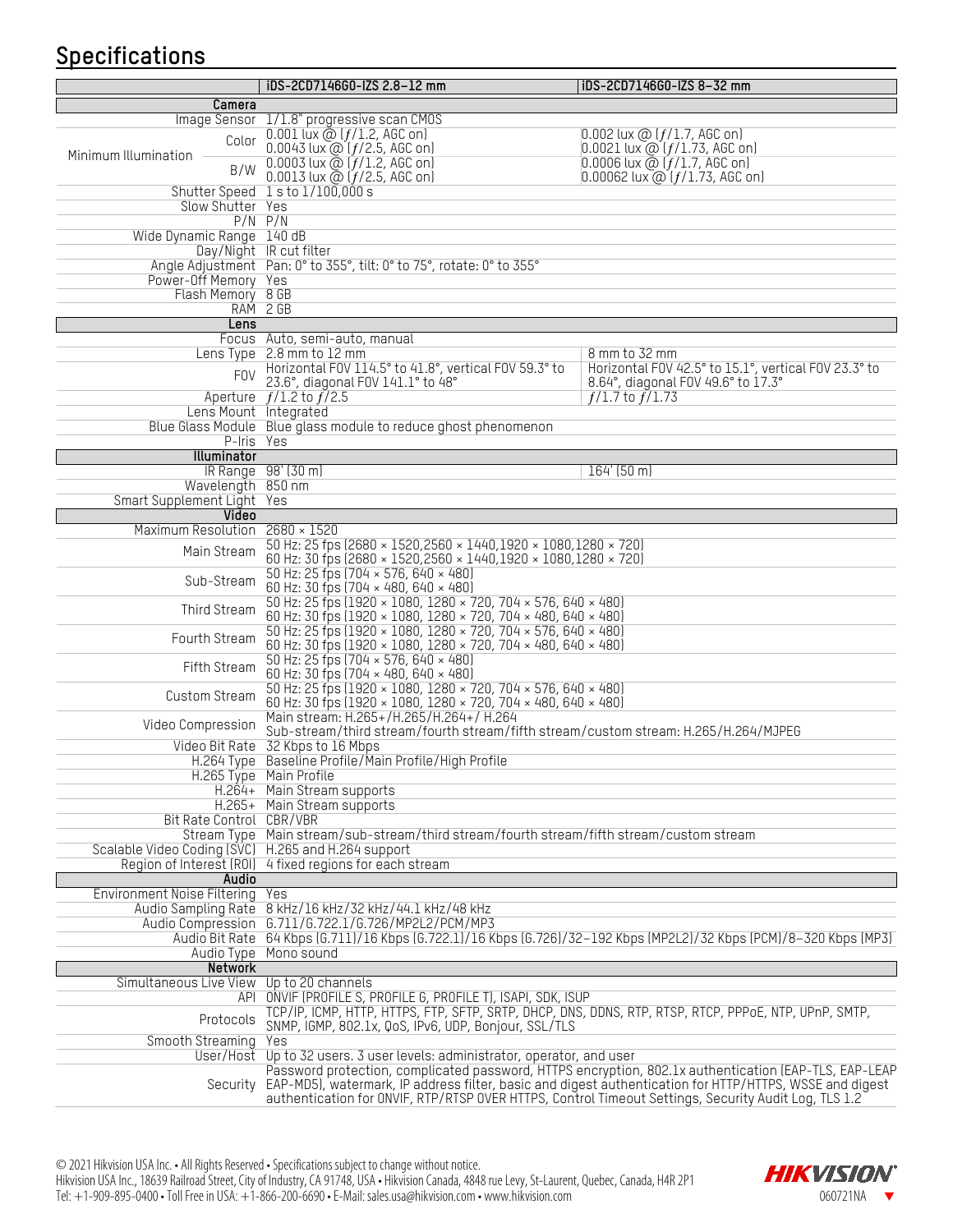## **Specifications**

|                                                     | iDS-2CD7146G0-IZS 2.8-12 mm                                                                                                                                   | iDS-2CD7146G0-IZS 8-32 mm                                                                                              |  |
|-----------------------------------------------------|---------------------------------------------------------------------------------------------------------------------------------------------------------------|------------------------------------------------------------------------------------------------------------------------|--|
| Camera                                              |                                                                                                                                                               |                                                                                                                        |  |
|                                                     | Image Sensor 1/1.8" progressive scan CM0S                                                                                                                     |                                                                                                                        |  |
| Color<br>Minimum Illumination<br>B/W                | 0.001 lux $@$ $(f/1.2, AGC$ on]<br>0.0043 lux @ $(f/2.5,$ AGC on]<br>0.0003 lux @ $(f/1.2,$ AGC on]                                                           | $[0.002$ lux $@$ $[f/1.7, AGC$ on]<br>$0.0021$ lux $\omega$ ( $f/1.73$ , AGC on)<br>0.0006 lux $@$ ( $f/1.7$ , AGC on) |  |
|                                                     | 0.0013 lux $\bar{\omega}$ ( $f/2.5$ , AGC on)                                                                                                                 | 0.00062 lux @ $(f/1.73,$ AGC on)                                                                                       |  |
|                                                     | Shutter Speed 1 s to 1/100,000 s                                                                                                                              |                                                                                                                        |  |
| Slow Shutter Yes                                    | $P/N$ $P/N$                                                                                                                                                   |                                                                                                                        |  |
| Wide Dynamic Range 140 dB                           |                                                                                                                                                               |                                                                                                                        |  |
|                                                     | Day/Night IR cut filter                                                                                                                                       |                                                                                                                        |  |
|                                                     | Angle Adjustment Pan: 0° to 355°, tilt: 0° to 75°, rotate: 0° to 355°                                                                                         |                                                                                                                        |  |
| Power-Off Memory Yes                                |                                                                                                                                                               |                                                                                                                        |  |
| Flash Memory 8 GB                                   |                                                                                                                                                               |                                                                                                                        |  |
|                                                     | RAM 2 GB                                                                                                                                                      |                                                                                                                        |  |
| Lens                                                |                                                                                                                                                               |                                                                                                                        |  |
|                                                     | Focus Auto, semi-auto, manual<br>Lens Type 2.8 mm to 12 mm                                                                                                    | 8 mm to 32 mm                                                                                                          |  |
|                                                     | Horizontal FOV 114.5° to 41.8°, vertical FOV 59.3° to                                                                                                         | Horizontal F0V 42.5° to 15.1°, vertical F0V 23.3° to                                                                   |  |
| <b>FOV</b>                                          | 23.6°, diagonal FOV 141.1° to 48°                                                                                                                             | 8.64°, diagonal FOV 49.6° to 17.3°                                                                                     |  |
|                                                     | Aperture $f/1.2$ to $f/2.5$                                                                                                                                   | $f/1.7$ to $f/1.73$                                                                                                    |  |
| Lens Mount Integrated                               |                                                                                                                                                               |                                                                                                                        |  |
|                                                     | Blue Glass Module Blue glass module to reduce ghost phenomenon                                                                                                |                                                                                                                        |  |
| P-Iris Yes                                          |                                                                                                                                                               |                                                                                                                        |  |
| Illuminator                                         | IR Range 98' (30 m)                                                                                                                                           | $164'$ (50 m)                                                                                                          |  |
| Wavelength 850 nm                                   |                                                                                                                                                               |                                                                                                                        |  |
| Smart Supplement Light Yes                          |                                                                                                                                                               |                                                                                                                        |  |
| Video                                               |                                                                                                                                                               |                                                                                                                        |  |
| Maximum Resolution 2680 × 1520                      |                                                                                                                                                               |                                                                                                                        |  |
| Main Stream                                         | 50 Hz: 25 fps (2680 × 1520,2560 × 1440,1920 × 1080,1280 × 720)<br>60 Hz: 30 fps (2680 × 1520, 2560 × 1440, 1920 × 1080, 1280 × 720)                           |                                                                                                                        |  |
| Sub-Stream                                          | 50 Hz: 25 fps $(704 \times 576, 640 \times 480)$                                                                                                              |                                                                                                                        |  |
|                                                     | 60 Hz: 30 fps (704 × 480, 640 × 480)                                                                                                                          |                                                                                                                        |  |
| Third Stream                                        | 50 Hz: 25 fps (1920 × 1080, 1280 × 720, 704 × 576, 640 × 480)<br>60 Hz: 30 fps (1920 × 1080, 1280 × 720, 704 × 480, 640 × 480)                                |                                                                                                                        |  |
| Fourth Stream                                       | 50 Hz: 25 fps (1920 × 1080, 1280 × 720, 704 × 576, 640 × 480)<br>60 Hz: 30 fps (1920 × 1080, 1280 × 720, 704 × 480, 640 × 480)                                |                                                                                                                        |  |
| Fifth Stream                                        | 50 Hz: 25 fps (704 × 576, 640 × 480)<br>60 Hz: 30 fps (704 × 480, 640 × 480)                                                                                  |                                                                                                                        |  |
| Custom Stream                                       | 50 Hz: 25 fps (1920 × 1080, 1280 × 720, 704 × 576, 640 × 480)<br>60 Hz: 30 fps (1920 × 1080, 1280 × 720, 704 × 480, 640 × 480)                                |                                                                                                                        |  |
| Video Compression                                   | Main stream: H.265+/H.265/H.264+/ H.264<br>Sub-stream/third stream/fourth stream/fifth stream/custom stream: H.265/H.264/MJPEG                                |                                                                                                                        |  |
|                                                     | Video Bit Rate 32 Kbps to 16 Mbps                                                                                                                             |                                                                                                                        |  |
|                                                     | H.264 Type Baseline Profile/Main Profile/High Profile                                                                                                         |                                                                                                                        |  |
|                                                     | H.265 Type Main Profile                                                                                                                                       |                                                                                                                        |  |
|                                                     | H.264+ Main Stream supports                                                                                                                                   |                                                                                                                        |  |
|                                                     | H.265+ Main Stream supports                                                                                                                                   |                                                                                                                        |  |
| Bit Rate Control CBR/VBR                            | Stream Type Main stream/sub-stream/third stream/fourth stream/fifth stream/custom stream                                                                      |                                                                                                                        |  |
| Scalable Video Coding (SVC) H.265 and H.264 support |                                                                                                                                                               |                                                                                                                        |  |
|                                                     | Region of Interest (ROI) 4 fixed regions for each stream                                                                                                      |                                                                                                                        |  |
| Audio                                               |                                                                                                                                                               |                                                                                                                        |  |
| <b>Environment Noise Filtering</b>                  | Yes                                                                                                                                                           |                                                                                                                        |  |
|                                                     | Audio Sampling Rate 8 kHz/16 kHz/32 kHz/44.1 kHz/48 kHz                                                                                                       |                                                                                                                        |  |
|                                                     | Audio Compression G.711/G.722.1/G.726/MP2L2/PCM/MP3                                                                                                           |                                                                                                                        |  |
|                                                     | Audio Bit Rate 64 Kbps (6.711)/16 Kbps (6.722.1)/16 Kbps (6.726)/32-192 Kbps (MP2L2)/32 Kbps (PCM)/8-320 Kbps (MP3)<br>Audio Type Mono sound                  |                                                                                                                        |  |
| <b>Network</b>                                      |                                                                                                                                                               |                                                                                                                        |  |
| Simultaneous Live View                              | Up to 20 channels                                                                                                                                             |                                                                                                                        |  |
|                                                     | API ONVIF (PROFILE S, PROFILE G, PROFILE T), ISAPI, SDK, ISUP                                                                                                 |                                                                                                                        |  |
| Protocols                                           | TCP/IP, ICMP, HTTP, HTTPS, FTP, SFTP, SRTP, DHCP, DNS, DDNS, RTP, RTSP, RTCP, PPPOE, NTP, UPnP, SMTP,<br>SNMP, IGMP, 802.1x, QoS, IPv6, UDP, Bonjour, SSL/TLS |                                                                                                                        |  |
| Smooth Streaming                                    | Yes                                                                                                                                                           |                                                                                                                        |  |
| User/Host                                           | Up to 32 users. 3 user levels: administrator, operator, and user                                                                                              |                                                                                                                        |  |
|                                                     |                                                                                                                                                               | Password protection, complicated password, HTTPS encryption, 802.1x authentication (EAP-TLS, EAP-LEAP                  |  |
| Security                                            | authentication for ONVIF, RTP/RTSP OVER HTTPS, Control Timeout Settings, Security Audit Log, TLS 1.2                                                          | EAP-MD5), watermark, IP address filter, basic and digest authentication for HTTP/HTTPS, WSSE and digest                |  |

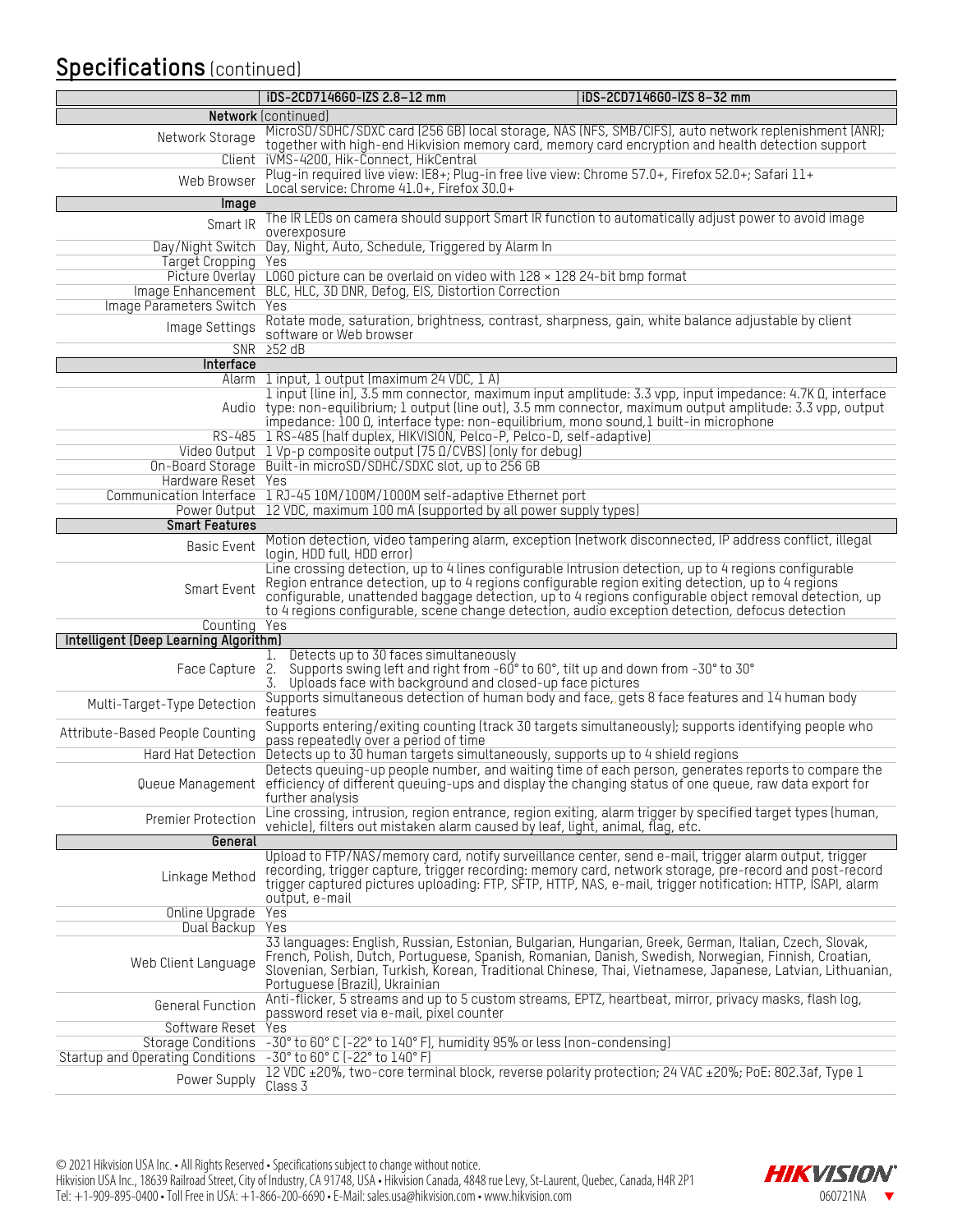# **Specifications** (continued)

|                                                                      | iDS-2CD7146G0-IZS 2.8-12 mm                                                                                                                                                                                                                                                                                                                      | iDS-2CD7146G0-IZS 8-32 mm                                                                                         |  |
|----------------------------------------------------------------------|--------------------------------------------------------------------------------------------------------------------------------------------------------------------------------------------------------------------------------------------------------------------------------------------------------------------------------------------------|-------------------------------------------------------------------------------------------------------------------|--|
|                                                                      | <b>Network</b> (continued)                                                                                                                                                                                                                                                                                                                       |                                                                                                                   |  |
| Network Storage                                                      | MicroSD/SDHC/SDXC card (256 GB) local storage, NAS (NFS, SMB/CIFS), auto network replenishment (ANR);<br>together with high-end Hikvision memory card, memory card encryption and health detection support                                                                                                                                       |                                                                                                                   |  |
| Client                                                               | iVMS-4200, Hik-Connect, HikCentral<br>Plug-in required live view: IE8+; Plug-in free live view: Chrome 57.0+, Firefox 52.0+; Safari 11+                                                                                                                                                                                                          |                                                                                                                   |  |
| Web Browser                                                          | Local service: Chrome 41.0+, Firefox 30.0+                                                                                                                                                                                                                                                                                                       |                                                                                                                   |  |
| Image                                                                | The IR LEDs on camera should support Smart IR function to automatically adjust power to avoid image                                                                                                                                                                                                                                              |                                                                                                                   |  |
| Smart IR                                                             | overexposure                                                                                                                                                                                                                                                                                                                                     |                                                                                                                   |  |
| Day/Night Switch                                                     | Day, Night, Auto, Schedule, Triggered by Alarm In                                                                                                                                                                                                                                                                                                |                                                                                                                   |  |
| Target Cropping<br>Picture Overlay                                   | Yes<br>L0G0 picture can be overlaid on video with $128 \times 12824$ -bit bmp format                                                                                                                                                                                                                                                             |                                                                                                                   |  |
| Image Enhancement                                                    | BLC, HLC, 3D DNR, Defog, EIS, Distortion Correction                                                                                                                                                                                                                                                                                              |                                                                                                                   |  |
| Image Parameters Switch                                              | Yes                                                                                                                                                                                                                                                                                                                                              |                                                                                                                   |  |
| Image Settings                                                       | Rotate mode, saturation, brightness, contrast, sharpness, gain, white balance adjustable by client<br>software or Web browser                                                                                                                                                                                                                    |                                                                                                                   |  |
|                                                                      | $SNR$ $\geq$ 52 dB                                                                                                                                                                                                                                                                                                                               |                                                                                                                   |  |
| Interface                                                            |                                                                                                                                                                                                                                                                                                                                                  |                                                                                                                   |  |
| Alarm                                                                | 1 input, 1 output (maximum 24 VDC, 1 A)                                                                                                                                                                                                                                                                                                          |                                                                                                                   |  |
|                                                                      | Audio type: non-equilibrium; 1 output (line out), 3.5 mm connector, maximum output amplitude: 3.3 vpp, output<br>impedance: 100 0, interface type: non-equilibrium, mono sound, 1 built-in microphone                                                                                                                                            | 1 input (line in), 3.5 mm connector, maximum input amplitude: 3.3 vpp, input impedance: 4.7K $\Omega$ , interface |  |
|                                                                      | RS-485 1 RS-485 (half duplex, HIKVISIÓN, Pelco-P, Pelco-D, self-adaptive)                                                                                                                                                                                                                                                                        |                                                                                                                   |  |
|                                                                      | Video Output 1 Vp-p composite output (75 0/CVBS) (only for debug)                                                                                                                                                                                                                                                                                |                                                                                                                   |  |
|                                                                      | On-Board Storage Built-in microSD/SDHC/SDXC slot, up to 256 GB                                                                                                                                                                                                                                                                                   |                                                                                                                   |  |
| Hardware Reset Yes                                                   |                                                                                                                                                                                                                                                                                                                                                  |                                                                                                                   |  |
|                                                                      | Communication Interface 1 RJ-45 10M/100M/1000M self-adaptive Ethernet port                                                                                                                                                                                                                                                                       |                                                                                                                   |  |
| <b>Smart Features</b>                                                | Power Output 12 VDC, maximum 100 mA (supported by all power supply types)                                                                                                                                                                                                                                                                        |                                                                                                                   |  |
|                                                                      | Motion detection, video tampering alarm, exception (network disconnected, IP address conflict, illegal                                                                                                                                                                                                                                           |                                                                                                                   |  |
| Basic Event                                                          | login, HDD full, HDD error)<br>Line crossing detection, up to 4 lines configurable Intrusion detection, up to 4 regions configurable                                                                                                                                                                                                             |                                                                                                                   |  |
| Smart Event                                                          | Region entrance detection, up to 4 regions configurable region exiting detection, up to 4 regions<br>configurable, unattended baggage detection, up to 4 regions configurable object removal detection, up<br>to 4 regions configurable, scene change detection, audio exception detection, defocus detection                                    |                                                                                                                   |  |
| Counting                                                             | Yes                                                                                                                                                                                                                                                                                                                                              |                                                                                                                   |  |
| Intelligent (Deep Learning Algorithm)                                |                                                                                                                                                                                                                                                                                                                                                  |                                                                                                                   |  |
|                                                                      | Detects up to 30 faces simultaneously<br>T.                                                                                                                                                                                                                                                                                                      |                                                                                                                   |  |
| Face Capture                                                         | Supports swing left and right from -60° to 60°, tilt up and down from -30° to 30°<br>2.<br>Uploads face with background and closed-up face pictures<br>3.                                                                                                                                                                                        |                                                                                                                   |  |
| Multi-Target-Type Detection                                          | Supports simultaneous detection of human body and face, gets 8 face features and 14 human body<br>features                                                                                                                                                                                                                                       |                                                                                                                   |  |
| Attribute-Based People Counting                                      | Supports entering/exiting counting (track 30 targets simultaneously); supports identifying people who<br>pass repeatedly over a period of time                                                                                                                                                                                                   |                                                                                                                   |  |
| Hard Hat Detection                                                   | Detects up to 30 human targets simultaneously, supports up to 4 shield regions                                                                                                                                                                                                                                                                   |                                                                                                                   |  |
|                                                                      | Detects queuing-up people number, and waiting time of each person, generates reports to compare the<br>Queue Management efficiency of different queuing-ups and display the changing status of one queue, raw data export for<br>further analysis                                                                                                |                                                                                                                   |  |
| Premier Protection                                                   | Line crossing, intrusion, region entrance, region exiting, alarm trigger by specified target types (human,<br>vehicle), filters out mistaken alarm caused by leaf, light, animal, flag, etc.                                                                                                                                                     |                                                                                                                   |  |
| General                                                              |                                                                                                                                                                                                                                                                                                                                                  |                                                                                                                   |  |
| Linkage Method                                                       | Upload to FTP/NAS/memory card, notify surveillance center, send e-mail, trigger alarm output, trigger<br>recording, trigger capture, trigger recording: memory card, network storage, pre-record and post-record<br>trigger captured pictures uploading: FTP, SFTP, HTTP, NAS, e-mail, trigger notification: HTTP, SAPI, alarm<br>output, e-mail |                                                                                                                   |  |
| <b>Online Upgrade</b>                                                | Yes                                                                                                                                                                                                                                                                                                                                              |                                                                                                                   |  |
| Dual Backup                                                          | Yes                                                                                                                                                                                                                                                                                                                                              |                                                                                                                   |  |
| Web Client Language                                                  | 33 languages: English, Russian, Estonian, Bulgarian, Hungarian, Greek, German, Italian, Czech, Slovak,<br>French, Polish, Dutch, Portuguese, Spanish, Romanian, Danish, Swedish, Norwegian, Finnish, Croatian,<br>Portuguese (Brazil), Ukrainian                                                                                                 | Slovenian, Serbian, Turkish, Korean, Traditional Chinese, Thai, Vietnamese, Japanese, Latvian, Lithuanian,        |  |
| General Function                                                     | Anti-flicker, 5 streams and up to 5 custom streams, EPTZ, heartbeat, mirror, privacy masks, flash log,<br>password reset via e-mail, pixel counter                                                                                                                                                                                               |                                                                                                                   |  |
| Software Reset                                                       | Yes                                                                                                                                                                                                                                                                                                                                              |                                                                                                                   |  |
| <b>Storage Conditions</b><br><b>Startup and Operating Conditions</b> | -30° to 60° C (-22° to 140° F), humidity 95% or less (non-condensing)<br>-30° to 60° C (-22° to 140° F)                                                                                                                                                                                                                                          |                                                                                                                   |  |
| Power Supply                                                         | 12 VDC ±20%, two-core terminal block, reverse polarity protection; 24 VAC ±20%; PoE: 802.3af, Type 1<br>Class 3                                                                                                                                                                                                                                  |                                                                                                                   |  |

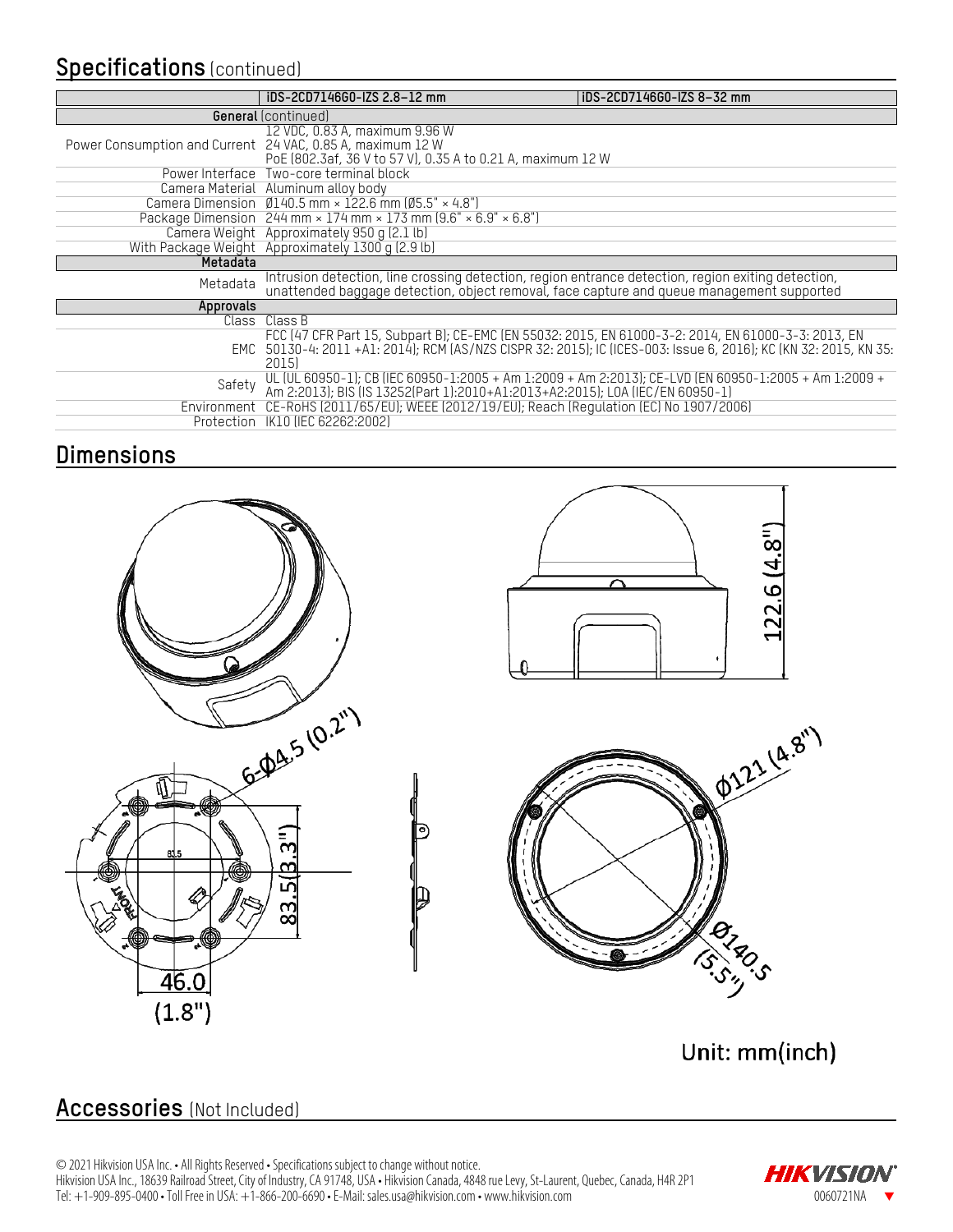## **Specifications** (continued)

|                                                            | iDS-2CD7146G0-IZS 2.8-12 mm                                                                                                                                                                     | iDS-2CD7146G0-IZS 8-32 mm                                                                                        |  |
|------------------------------------------------------------|-------------------------------------------------------------------------------------------------------------------------------------------------------------------------------------------------|------------------------------------------------------------------------------------------------------------------|--|
|                                                            | <b>General</b> (continued)                                                                                                                                                                      |                                                                                                                  |  |
| Power Consumption and Current 24 VAC, 0.85 A, maximum 12 W | 12 VDC, 0.83 A, maximum 9.96 W<br>PoE (802.3af, 36 V to 57 V), 0.35 A to 0.21 A, maximum 12 W                                                                                                   |                                                                                                                  |  |
|                                                            | Power Interface Two-core terminal block                                                                                                                                                         |                                                                                                                  |  |
|                                                            | Camera Material Aluminum alloy body                                                                                                                                                             |                                                                                                                  |  |
|                                                            | Camera Dimension $\emptyset$ 140.5 mm × 122.6 mm ( $\emptyset$ 5.5" × 4.8")                                                                                                                     |                                                                                                                  |  |
|                                                            | Package Dimension $244$ mm $\times$ 174 mm $\times$ 173 mm (9.6" $\times$ 6.9" $\times$ 6.8")                                                                                                   |                                                                                                                  |  |
|                                                            | Camera Weight Approximately 950 g (2.1 lb)<br>With Package Weight Approximately 1300 g (2.9 lb)                                                                                                 |                                                                                                                  |  |
| Metadata                                                   |                                                                                                                                                                                                 |                                                                                                                  |  |
| Metadata                                                   | Intrusion detection, line crossing detection, region entrance detection, region exiting detection,<br>unattended baggage detection, object removal, face capture and queue management supported |                                                                                                                  |  |
| Approvals                                                  |                                                                                                                                                                                                 |                                                                                                                  |  |
|                                                            | Class Class B                                                                                                                                                                                   |                                                                                                                  |  |
|                                                            | FCC (47 CFR Part 15, Subpart B); CE-EMC (EN 55032: 2015, EN 61000-3-2: 2014, EN 61000-3-3: 2013, EN<br>2015)                                                                                    | EMC 50130-4: 2011 +A1: 2014); RCM (AS/NZS CISPR 32: 2015); IC (ICES-003: Issue 6, 2016); KC (KN 32: 2015, KN 35: |  |
| Safety                                                     | UL (UL 60950-1); CB (IEC 60950-1:2005 + Am 1:2009 + Am 2:2013); CE-LVD (EN 60950-1:2005 + Am 1:2009 + Am 2:2013); BIS (IS 13252(Part 1):2010+A1:2013+A2:2015); LOA (IEC/EN 60950-1)             |                                                                                                                  |  |
|                                                            | Environment CE-RoHS (2011/65/EU); WEEE (2012/19/EU); Reach (Regulation (EC) No 1907/2006)                                                                                                       |                                                                                                                  |  |
|                                                            | Protection IK10 (IEC 62262:2002)                                                                                                                                                                |                                                                                                                  |  |

## **Dimensions**







Unit: mm(inch)

## **Accessories** (Not Included)

╜